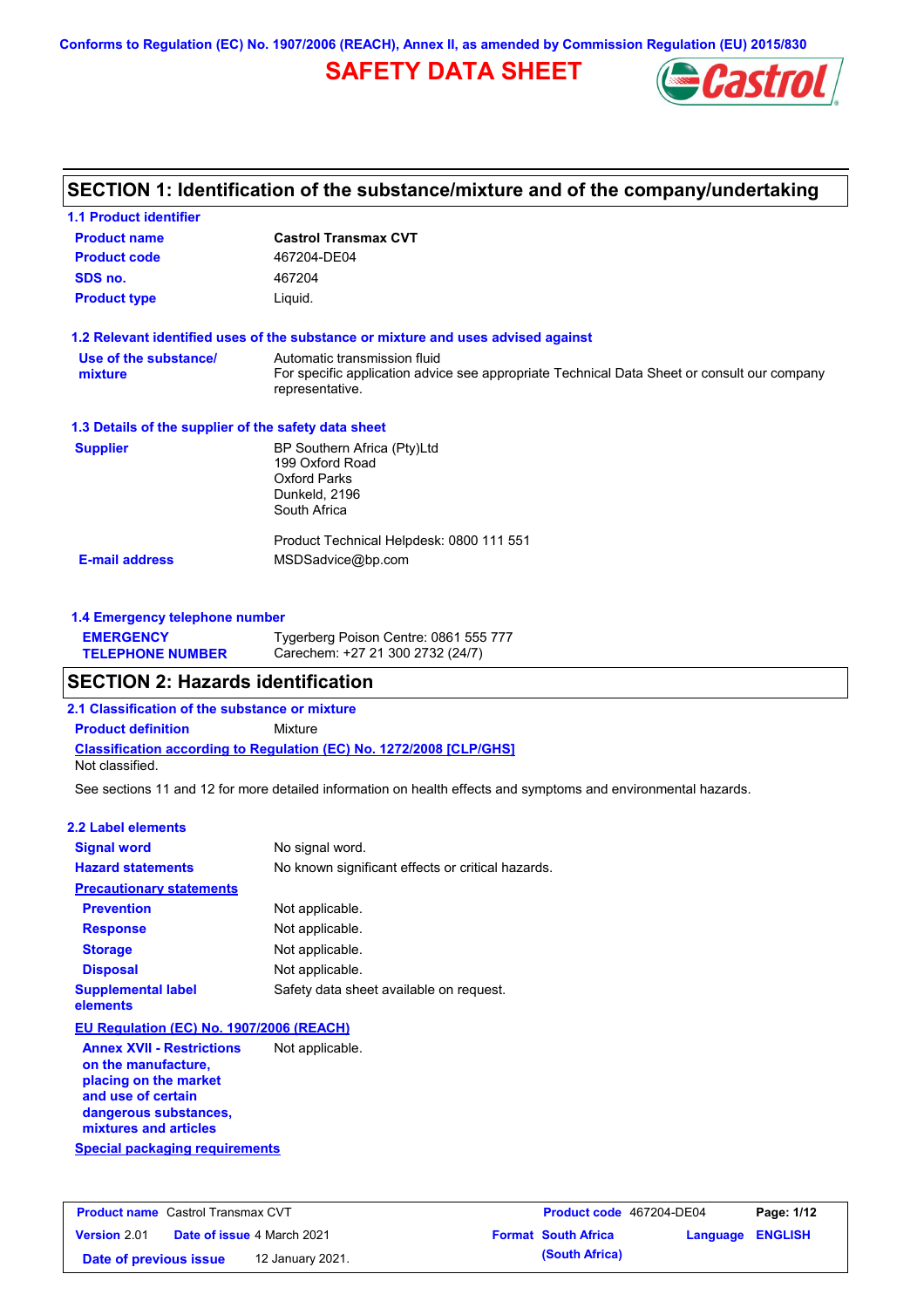**Conforms to Regulation (EC) No. 1907/2006 (REACH), Annex II, as amended by Commission Regulation (EU) 2015/830**

# **SAFETY DATA SHEET**



# **SECTION 1: Identification of the substance/mixture and of the company/undertaking**

| <b>1.1 Product identifier</b>                        |                                                                                                                |
|------------------------------------------------------|----------------------------------------------------------------------------------------------------------------|
| <b>Product name</b>                                  | <b>Castrol Transmax CVT</b>                                                                                    |
| <b>Product code</b>                                  | 467204-DE04                                                                                                    |
| SDS no.                                              | 467204                                                                                                         |
| <b>Product type</b>                                  | Liquid.                                                                                                        |
|                                                      | 1.2 Relevant identified uses of the substance or mixture and uses advised against                              |
| Use of the substance/                                | Automatic transmission fluid                                                                                   |
| mixture                                              | For specific application advice see appropriate Technical Data Sheet or consult our company<br>representative. |
| 1.3 Details of the supplier of the safety data sheet |                                                                                                                |
| <b>Supplier</b>                                      | BP Southern Africa (Pty)Ltd                                                                                    |
|                                                      | 199 Oxford Road                                                                                                |
|                                                      | <b>Oxford Parks</b><br>Dunkeld, 2196                                                                           |
|                                                      | South Africa                                                                                                   |
|                                                      | Product Technical Helpdesk: 0800 111 551                                                                       |
| <b>E-mail address</b>                                | MSDSadvice@bp.com                                                                                              |
|                                                      |                                                                                                                |
| 1.4 Emergency telephone number                       |                                                                                                                |

| <b>EMERGENCY</b>        | Tygerberg Poison Centre: 0861 555 777 |
|-------------------------|---------------------------------------|
| <b>TELEPHONE NUMBER</b> | Carechem: +27 21 300 2732 (24/7)      |

### **SECTION 2: Hazards identification**

**2.1 Classification of the substance or mixture**

**Classification according to Regulation (EC) No. 1272/2008 [CLP/GHS] Product definition** Mixture Not classified.

See sections 11 and 12 for more detailed information on health effects and symptoms and environmental hazards.

### **2.2 Label elements**

| <b>Signal word</b>                                      | No signal word.                                   |
|---------------------------------------------------------|---------------------------------------------------|
| <b>Hazard statements</b>                                | No known significant effects or critical hazards. |
| <b>Precautionary statements</b>                         |                                                   |
| <b>Prevention</b>                                       | Not applicable.                                   |
| <b>Response</b>                                         | Not applicable.                                   |
| <b>Storage</b>                                          | Not applicable.                                   |
| <b>Disposal</b>                                         | Not applicable.                                   |
| <b>Supplemental label</b><br>elements                   | Safety data sheet available on request.           |
| EU Regulation (EC) No. 1907/2006 (REACH)                |                                                   |
| <b>Annex XVII - Restrictions</b><br>on the manufacture, | Not applicable.                                   |

**Special packaging requirements placing on the market and use of certain dangerous substances, mixtures and articles**

| <b>Product name</b> Castrol Transmax CVT |  | Product code 467204-DE04          |  | Page: 1/12                 |                  |  |
|------------------------------------------|--|-----------------------------------|--|----------------------------|------------------|--|
| <b>Version 2.01</b>                      |  | <b>Date of issue 4 March 2021</b> |  | <b>Format South Africa</b> | Language ENGLISH |  |
| Date of previous issue                   |  | 12 January 2021.                  |  | (South Africa)             |                  |  |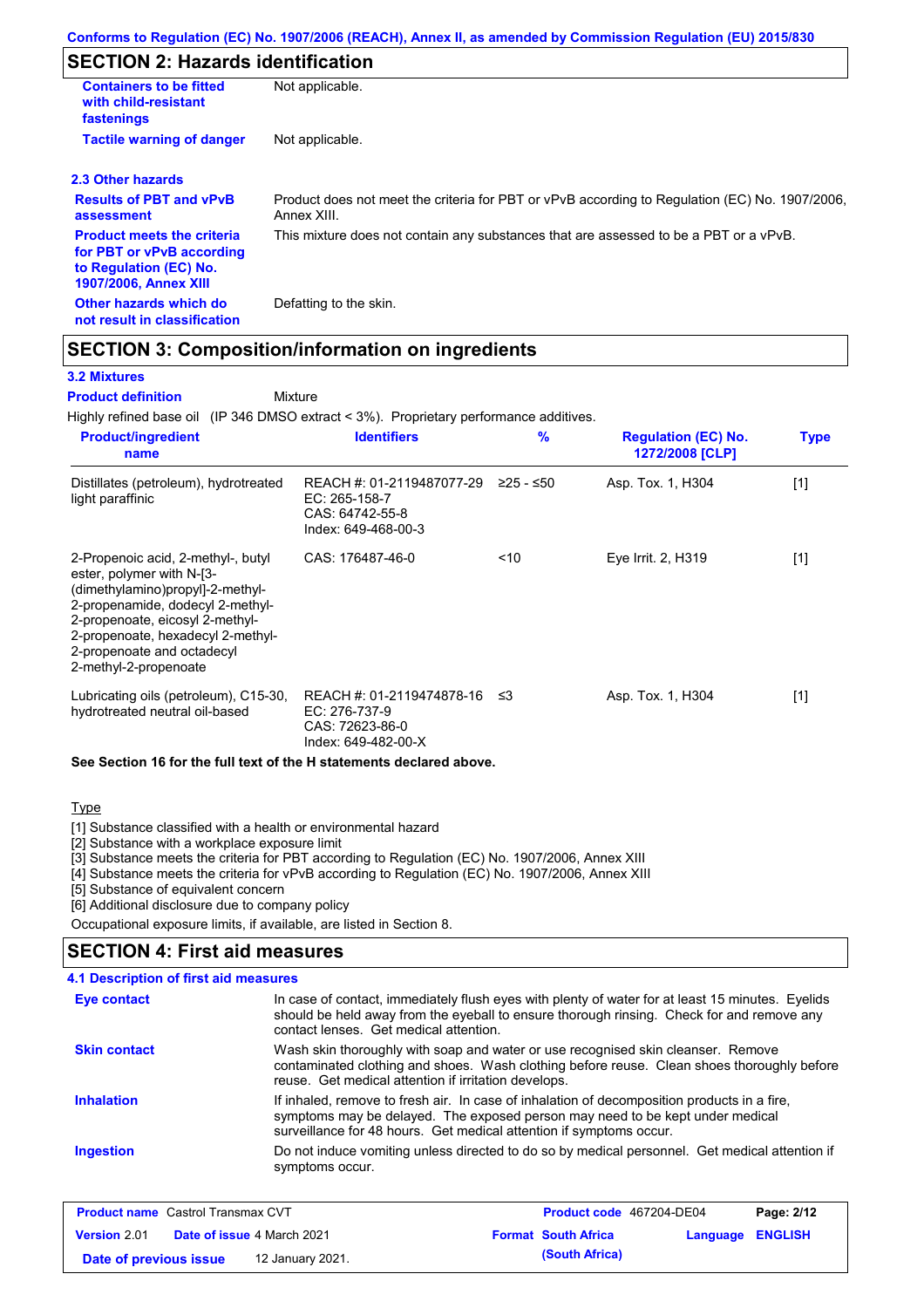# **SECTION 2: Hazards identification**

| <b>Containers to be fitted</b><br>with child-resistant<br>fastenings                                                     | Not applicable.                                                                                               |
|--------------------------------------------------------------------------------------------------------------------------|---------------------------------------------------------------------------------------------------------------|
| <b>Tactile warning of danger</b>                                                                                         | Not applicable.                                                                                               |
| 2.3 Other hazards                                                                                                        |                                                                                                               |
| <b>Results of PBT and vPvB</b><br>assessment                                                                             | Product does not meet the criteria for PBT or vPvB according to Regulation (EC) No. 1907/2006,<br>Annex XIII. |
| <b>Product meets the criteria</b><br>for PBT or vPvB according<br>to Regulation (EC) No.<br><b>1907/2006, Annex XIII</b> | This mixture does not contain any substances that are assessed to be a PBT or a vPvB.                         |
| Other hazards which do<br>not result in classification                                                                   | Defatting to the skin.                                                                                        |

## **SECTION 3: Composition/information on ingredients**

Mixture

### **3.2 Mixtures**

**Product definition**

Highly refined base oil (IP 346 DMSO extract < 3%). Proprietary performance additives.

| <b>Product/ingredient</b><br>name                                                                                                                                                                                                                                      | <b>Identifiers</b>                                                                      | $\frac{9}{6}$ | <b>Regulation (EC) No.</b><br>1272/2008 [CLP] | <b>Type</b> |
|------------------------------------------------------------------------------------------------------------------------------------------------------------------------------------------------------------------------------------------------------------------------|-----------------------------------------------------------------------------------------|---------------|-----------------------------------------------|-------------|
| Distillates (petroleum), hydrotreated<br>light paraffinic                                                                                                                                                                                                              | REACH #: 01-2119487077-29<br>EC: 265-158-7<br>CAS: 64742-55-8<br>Index: 649-468-00-3    | ≥25 - ≤50     | Asp. Tox. 1, H304                             | [1]         |
| 2-Propenoic acid, 2-methyl-, butyl<br>ester, polymer with N-[3-<br>(dimethylamino)propyl]-2-methyl-<br>2-propenamide, dodecyl 2-methyl-<br>2-propenoate, eicosyl 2-methyl-<br>2-propenoate, hexadecyl 2-methyl-<br>2-propenoate and octadecyl<br>2-methyl-2-propenoate | CAS: 176487-46-0                                                                        | ~10           | Eye Irrit. 2, H319                            | [1]         |
| Lubricating oils (petroleum), C15-30,<br>hydrotreated neutral oil-based                                                                                                                                                                                                | REACH #: 01-2119474878-16 ≤3<br>EC: 276-737-9<br>CAS: 72623-86-0<br>Index: 649-482-00-X |               | Asp. Tox. 1, H304                             | [1]         |
| See Section 16 for the full text of the H statements declared above.                                                                                                                                                                                                   |                                                                                         |               |                                               |             |

### **Type**

[1] Substance classified with a health or environmental hazard

[2] Substance with a workplace exposure limit

[3] Substance meets the criteria for PBT according to Regulation (EC) No. 1907/2006, Annex XIII

[4] Substance meets the criteria for vPvB according to Regulation (EC) No. 1907/2006, Annex XIII

[5] Substance of equivalent concern

[6] Additional disclosure due to company policy

Occupational exposure limits, if available, are listed in Section 8.

### **SECTION 4: First aid measures**

| Eye contact         | In case of contact, immediately flush eyes with plenty of water for at least 15 minutes. Eyelids<br>should be held away from the eyeball to ensure thorough rinsing. Check for and remove any<br>contact lenses. Get medical attention.             |
|---------------------|-----------------------------------------------------------------------------------------------------------------------------------------------------------------------------------------------------------------------------------------------------|
| <b>Skin contact</b> | Wash skin thoroughly with soap and water or use recognised skin cleanser. Remove<br>contaminated clothing and shoes. Wash clothing before reuse. Clean shoes thoroughly before<br>reuse. Get medical attention if irritation develops.              |
| <b>Inhalation</b>   | If inhaled, remove to fresh air. In case of inhalation of decomposition products in a fire,<br>symptoms may be delayed. The exposed person may need to be kept under medical<br>surveillance for 48 hours. Get medical attention if symptoms occur. |
| <b>Ingestion</b>    | Do not induce vomiting unless directed to do so by medical personnel. Get medical attention if<br>symptoms occur.                                                                                                                                   |

| <b>Product name</b> Castrol Transmax CVT                 |  | Product code 467204-DE04   |                         | Page: 2/12 |  |
|----------------------------------------------------------|--|----------------------------|-------------------------|------------|--|
| <b>Version 2.01</b><br><b>Date of issue 4 March 2021</b> |  | <b>Format South Africa</b> | <b>Language ENGLISH</b> |            |  |
| Date of previous issue<br>12 January 2021.               |  |                            | (South Africa)          |            |  |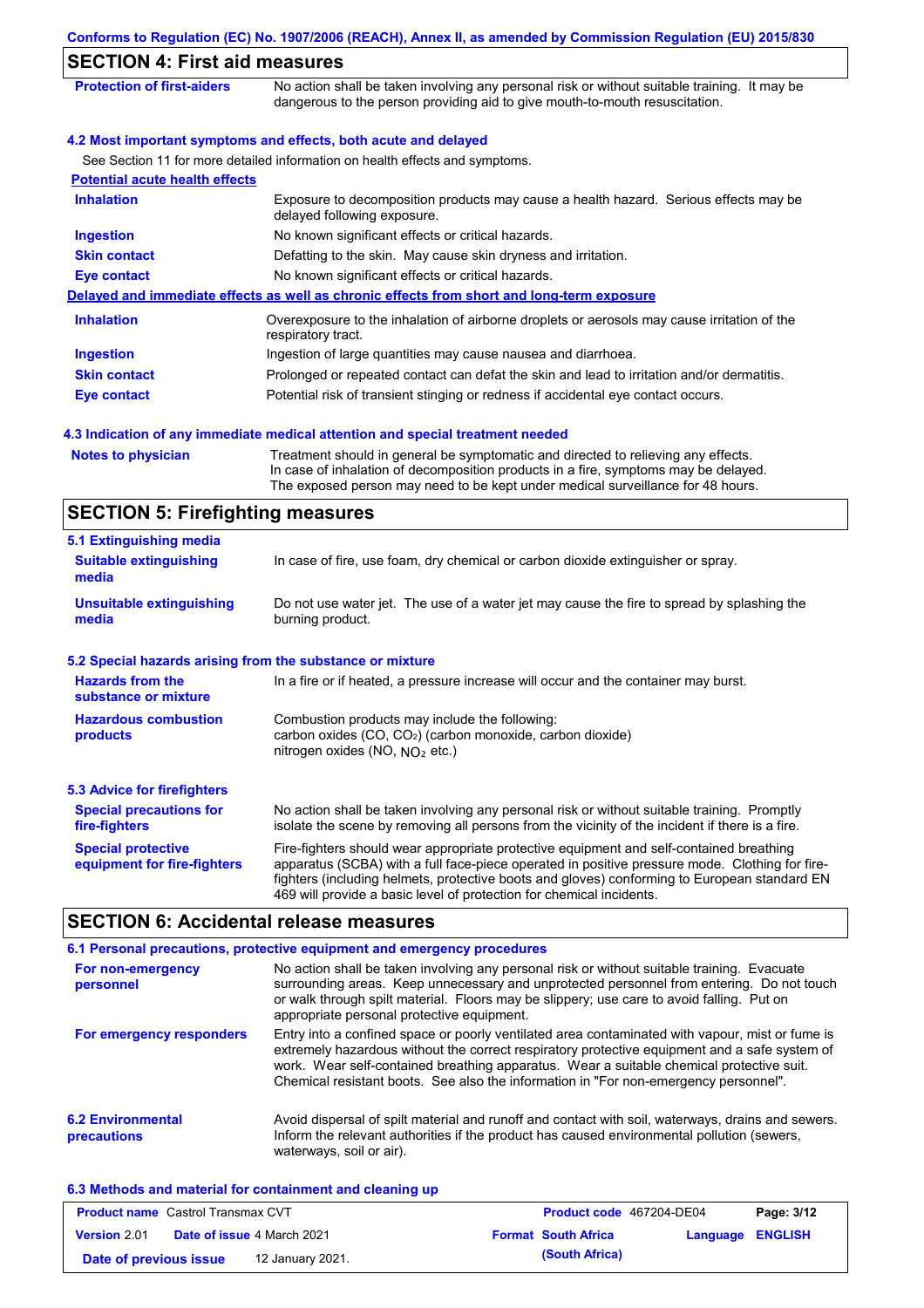| Conforms to Regulation (EC) No. 1907/2006 (REACH), Annex II, as amended by Commission Regulation (EU) 2015/830 |                                                                                                                                                                                                                                                             |  |  |  |
|----------------------------------------------------------------------------------------------------------------|-------------------------------------------------------------------------------------------------------------------------------------------------------------------------------------------------------------------------------------------------------------|--|--|--|
| <b>SECTION 4: First aid measures</b>                                                                           |                                                                                                                                                                                                                                                             |  |  |  |
| <b>Protection of first-aiders</b>                                                                              | No action shall be taken involving any personal risk or without suitable training. It may be<br>dangerous to the person providing aid to give mouth-to-mouth resuscitation.                                                                                 |  |  |  |
|                                                                                                                | 4.2 Most important symptoms and effects, both acute and delayed                                                                                                                                                                                             |  |  |  |
|                                                                                                                | See Section 11 for more detailed information on health effects and symptoms.                                                                                                                                                                                |  |  |  |
| <b>Potential acute health effects</b>                                                                          |                                                                                                                                                                                                                                                             |  |  |  |
| <b>Inhalation</b>                                                                                              | Exposure to decomposition products may cause a health hazard. Serious effects may be<br>delayed following exposure.                                                                                                                                         |  |  |  |
| <b>Ingestion</b>                                                                                               | No known significant effects or critical hazards.                                                                                                                                                                                                           |  |  |  |
| <b>Skin contact</b>                                                                                            | Defatting to the skin. May cause skin dryness and irritation.                                                                                                                                                                                               |  |  |  |
| <b>Eye contact</b>                                                                                             | No known significant effects or critical hazards.                                                                                                                                                                                                           |  |  |  |
|                                                                                                                | Delayed and immediate effects as well as chronic effects from short and long-term exposure                                                                                                                                                                  |  |  |  |
| <b>Inhalation</b>                                                                                              | Overexposure to the inhalation of airborne droplets or aerosols may cause irritation of the<br>respiratory tract.                                                                                                                                           |  |  |  |
| Ingestion                                                                                                      | Ingestion of large quantities may cause nausea and diarrhoea.                                                                                                                                                                                               |  |  |  |
| <b>Skin contact</b>                                                                                            | Prolonged or repeated contact can defat the skin and lead to irritation and/or dermatitis.                                                                                                                                                                  |  |  |  |
| <b>Eye contact</b>                                                                                             | Potential risk of transient stinging or redness if accidental eye contact occurs.                                                                                                                                                                           |  |  |  |
|                                                                                                                | 4.3 Indication of any immediate medical attention and special treatment needed                                                                                                                                                                              |  |  |  |
| <b>Notes to physician</b>                                                                                      | Treatment should in general be symptomatic and directed to relieving any effects.<br>In case of inhalation of decomposition products in a fire, symptoms may be delayed.<br>The exposed person may need to be kept under medical surveillance for 48 hours. |  |  |  |
| <b>SECTION 5: Firefighting measures</b>                                                                        |                                                                                                                                                                                                                                                             |  |  |  |
| 5.1 Extinguishing media                                                                                        |                                                                                                                                                                                                                                                             |  |  |  |
| <b>Suitable extinguishing</b><br>media                                                                         | In case of fire, use foam, dry chemical or carbon dioxide extinguisher or spray.                                                                                                                                                                            |  |  |  |
| <b>Unsuitable extinguishing</b><br>media                                                                       | Do not use water jet. The use of a water jet may cause the fire to spread by splashing the<br>burning product.                                                                                                                                              |  |  |  |

### **5.2 Special hazards arising from the substance or mixture**

| <b>Hazards from the</b><br>substance or mixture          | In a fire or if heated, a pressure increase will occur and the container may burst.                                                                                                                                                                                                                                                                               |
|----------------------------------------------------------|-------------------------------------------------------------------------------------------------------------------------------------------------------------------------------------------------------------------------------------------------------------------------------------------------------------------------------------------------------------------|
| <b>Hazardous combustion</b><br>products                  | Combustion products may include the following:<br>carbon oxides (CO, CO <sub>2</sub> ) (carbon monoxide, carbon dioxide)<br>nitrogen oxides (NO, $NO2$ etc.)                                                                                                                                                                                                      |
| <b>5.3 Advice for firefighters</b>                       |                                                                                                                                                                                                                                                                                                                                                                   |
| <b>Special precautions for</b><br>fire-fighters          | No action shall be taken involving any personal risk or without suitable training. Promptly<br>isolate the scene by removing all persons from the vicinity of the incident if there is a fire.                                                                                                                                                                    |
| <b>Special protective</b><br>equipment for fire-fighters | Fire-fighters should wear appropriate protective equipment and self-contained breathing<br>apparatus (SCBA) with a full face-piece operated in positive pressure mode. Clothing for fire-<br>fighters (including helmets, protective boots and gloves) conforming to European standard EN<br>469 will provide a basic level of protection for chemical incidents. |

# **SECTION 6: Accidental release measures**

|                                         | 6.1 Personal precautions, protective equipment and emergency procedures                                                                                                                                                                                                                                                                                                              |
|-----------------------------------------|--------------------------------------------------------------------------------------------------------------------------------------------------------------------------------------------------------------------------------------------------------------------------------------------------------------------------------------------------------------------------------------|
| For non-emergency<br>personnel          | No action shall be taken involving any personal risk or without suitable training. Evacuate<br>surrounding areas. Keep unnecessary and unprotected personnel from entering. Do not touch<br>or walk through spilt material. Floors may be slippery; use care to avoid falling. Put on<br>appropriate personal protective equipment.                                                  |
| For emergency responders                | Entry into a confined space or poorly ventilated area contaminated with vapour, mist or fume is<br>extremely hazardous without the correct respiratory protective equipment and a safe system of<br>work. Wear self-contained breathing apparatus. Wear a suitable chemical protective suit.<br>Chemical resistant boots. See also the information in "For non-emergency personnel". |
| <b>6.2 Environmental</b><br>precautions | Avoid dispersal of spilt material and runoff and contact with soil, waterways, drains and sewers.<br>Inform the relevant authorities if the product has caused environmental pollution (sewers,<br>waterways, soil or air).                                                                                                                                                          |

### **6.3 Methods and material for containment and cleaning up**

| <b>Product name</b> Castrol Transmax CVT |                                   |                  | <b>Product code</b> 467204-DE04 | Page: 3/12              |  |  |
|------------------------------------------|-----------------------------------|------------------|---------------------------------|-------------------------|--|--|
| <b>Version 2.01</b>                      | <b>Date of issue 4 March 2021</b> |                  | <b>Format South Africa</b>      | <b>Language ENGLISH</b> |  |  |
| Date of previous issue                   |                                   | 12 January 2021. |                                 | (South Africa)          |  |  |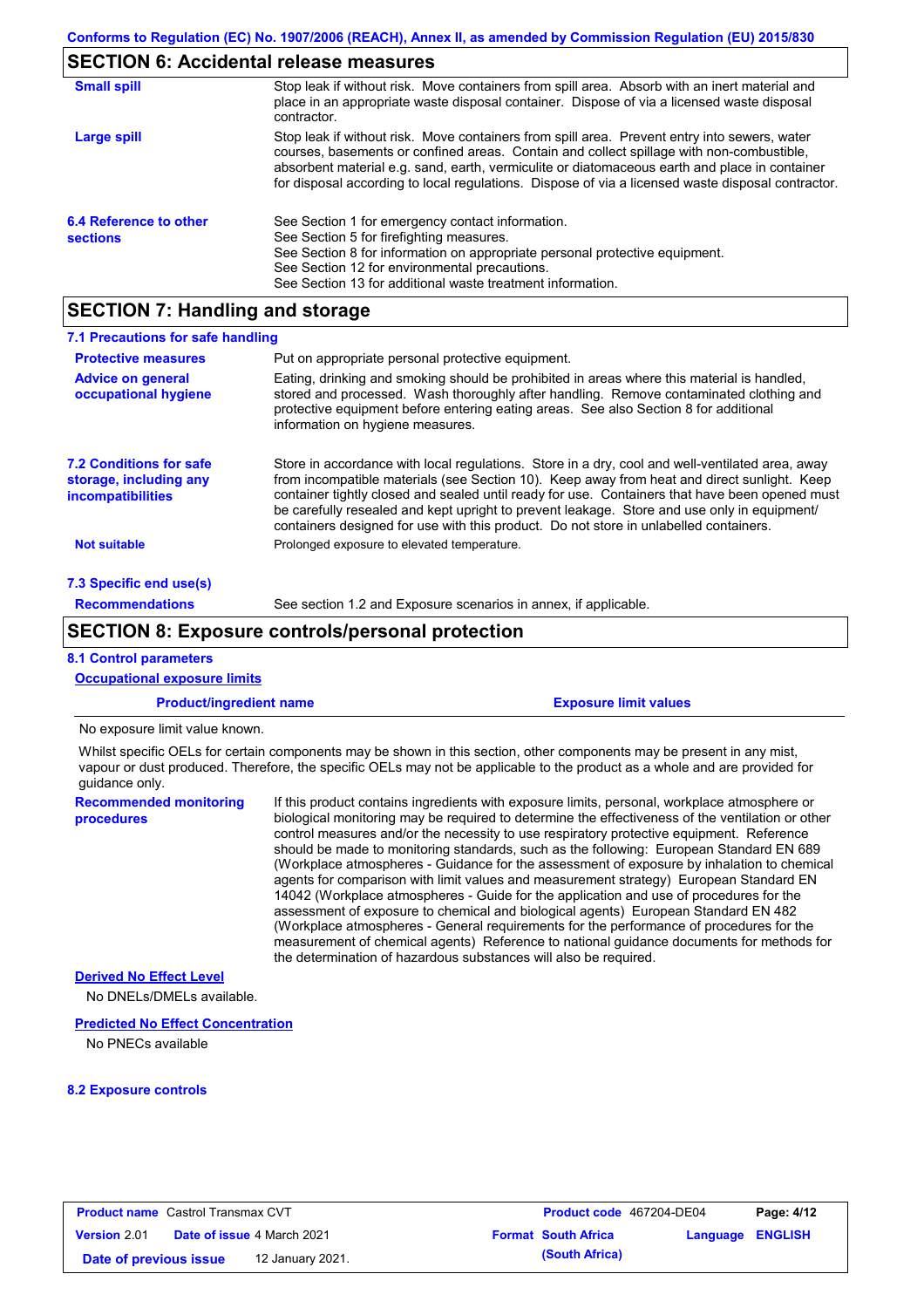# **SECTION 6: Accidental release measures**

| <b>Small spill</b>                        | Stop leak if without risk. Move containers from spill area. Absorb with an inert material and<br>place in an appropriate waste disposal container. Dispose of via a licensed waste disposal<br>contractor.                                                                                                                                                                                     |
|-------------------------------------------|------------------------------------------------------------------------------------------------------------------------------------------------------------------------------------------------------------------------------------------------------------------------------------------------------------------------------------------------------------------------------------------------|
| Large spill                               | Stop leak if without risk. Move containers from spill area. Prevent entry into sewers, water<br>courses, basements or confined areas. Contain and collect spillage with non-combustible,<br>absorbent material e.g. sand, earth, vermiculite or diatomaceous earth and place in container<br>for disposal according to local regulations. Dispose of via a licensed waste disposal contractor. |
| 6.4 Reference to other<br><b>sections</b> | See Section 1 for emergency contact information.<br>See Section 5 for firefighting measures.<br>See Section 8 for information on appropriate personal protective equipment.<br>See Section 12 for environmental precautions.<br>See Section 13 for additional waste treatment information.                                                                                                     |

# **SECTION 7: Handling and storage**

| 7.1 Precautions for safe handling                                                    |                                                                                                                                                                                                                                                                                                                                                                                                                                                                                          |
|--------------------------------------------------------------------------------------|------------------------------------------------------------------------------------------------------------------------------------------------------------------------------------------------------------------------------------------------------------------------------------------------------------------------------------------------------------------------------------------------------------------------------------------------------------------------------------------|
| <b>Protective measures</b>                                                           | Put on appropriate personal protective equipment.                                                                                                                                                                                                                                                                                                                                                                                                                                        |
| <b>Advice on general</b><br>occupational hygiene                                     | Eating, drinking and smoking should be prohibited in areas where this material is handled,<br>stored and processed. Wash thoroughly after handling. Remove contaminated clothing and<br>protective equipment before entering eating areas. See also Section 8 for additional<br>information on hygiene measures.                                                                                                                                                                         |
| <b>7.2 Conditions for safe</b><br>storage, including any<br><i>incompatibilities</i> | Store in accordance with local regulations. Store in a dry, cool and well-ventilated area, away<br>from incompatible materials (see Section 10). Keep away from heat and direct sunlight. Keep<br>container tightly closed and sealed until ready for use. Containers that have been opened must<br>be carefully resealed and kept upright to prevent leakage. Store and use only in equipment/<br>containers designed for use with this product. Do not store in unlabelled containers. |
| Not suitable                                                                         | Prolonged exposure to elevated temperature.                                                                                                                                                                                                                                                                                                                                                                                                                                              |
| 7.3 Specific end use(s)                                                              |                                                                                                                                                                                                                                                                                                                                                                                                                                                                                          |
| <b>Recommendations</b>                                                               | See section 1.2 and Exposure scenarios in annex, if applicable.                                                                                                                                                                                                                                                                                                                                                                                                                          |

# **SECTION 8: Exposure controls/personal protection**

### **8.1 Control parameters**

| <b>Occupational exposure limits</b>         |                                                                                                                                                                                                                                                                                                                                                                                                                                                                                                                                                                                                                                                                                                                                                                                                                                                                                                                                                                                                                            |  |  |  |
|---------------------------------------------|----------------------------------------------------------------------------------------------------------------------------------------------------------------------------------------------------------------------------------------------------------------------------------------------------------------------------------------------------------------------------------------------------------------------------------------------------------------------------------------------------------------------------------------------------------------------------------------------------------------------------------------------------------------------------------------------------------------------------------------------------------------------------------------------------------------------------------------------------------------------------------------------------------------------------------------------------------------------------------------------------------------------------|--|--|--|
| <b>Product/ingredient name</b>              | <b>Exposure limit values</b>                                                                                                                                                                                                                                                                                                                                                                                                                                                                                                                                                                                                                                                                                                                                                                                                                                                                                                                                                                                               |  |  |  |
| No exposure limit value known.              |                                                                                                                                                                                                                                                                                                                                                                                                                                                                                                                                                                                                                                                                                                                                                                                                                                                                                                                                                                                                                            |  |  |  |
| quidance only.                              | Whilst specific OELs for certain components may be shown in this section, other components may be present in any mist,<br>vapour or dust produced. Therefore, the specific OELs may not be applicable to the product as a whole and are provided for                                                                                                                                                                                                                                                                                                                                                                                                                                                                                                                                                                                                                                                                                                                                                                       |  |  |  |
| <b>Recommended monitoring</b><br>procedures | If this product contains ingredients with exposure limits, personal, workplace atmosphere or<br>biological monitoring may be required to determine the effectiveness of the ventilation or other<br>control measures and/or the necessity to use respiratory protective equipment. Reference<br>should be made to monitoring standards, such as the following: European Standard EN 689<br>(Workplace atmospheres - Guidance for the assessment of exposure by inhalation to chemical<br>agents for comparison with limit values and measurement strategy) European Standard EN<br>14042 (Workplace atmospheres - Guide for the application and use of procedures for the<br>assessment of exposure to chemical and biological agents) European Standard EN 482<br>(Workplace atmospheres - General requirements for the performance of procedures for the<br>measurement of chemical agents) Reference to national quidance documents for methods for<br>the determination of hazardous substances will also be required. |  |  |  |
| <b>Derived No Effect Level</b>              |                                                                                                                                                                                                                                                                                                                                                                                                                                                                                                                                                                                                                                                                                                                                                                                                                                                                                                                                                                                                                            |  |  |  |
| No DNELs/DMELs available                    |                                                                                                                                                                                                                                                                                                                                                                                                                                                                                                                                                                                                                                                                                                                                                                                                                                                                                                                                                                                                                            |  |  |  |

### **Predicted No Effect Concentration**

No PNECs available

#### **8.2 Exposure controls**

| <b>Product name</b> Castrol Transmax CVT   |                  |  | <b>Product code</b> 467204-DE04 | Page: 4/12       |  |
|--------------------------------------------|------------------|--|---------------------------------|------------------|--|
| Date of issue 4 March 2021<br>Version 2.01 |                  |  | <b>Format South Africa</b>      | Language ENGLISH |  |
| Date of previous issue                     | 12 January 2021. |  | (South Africa)                  |                  |  |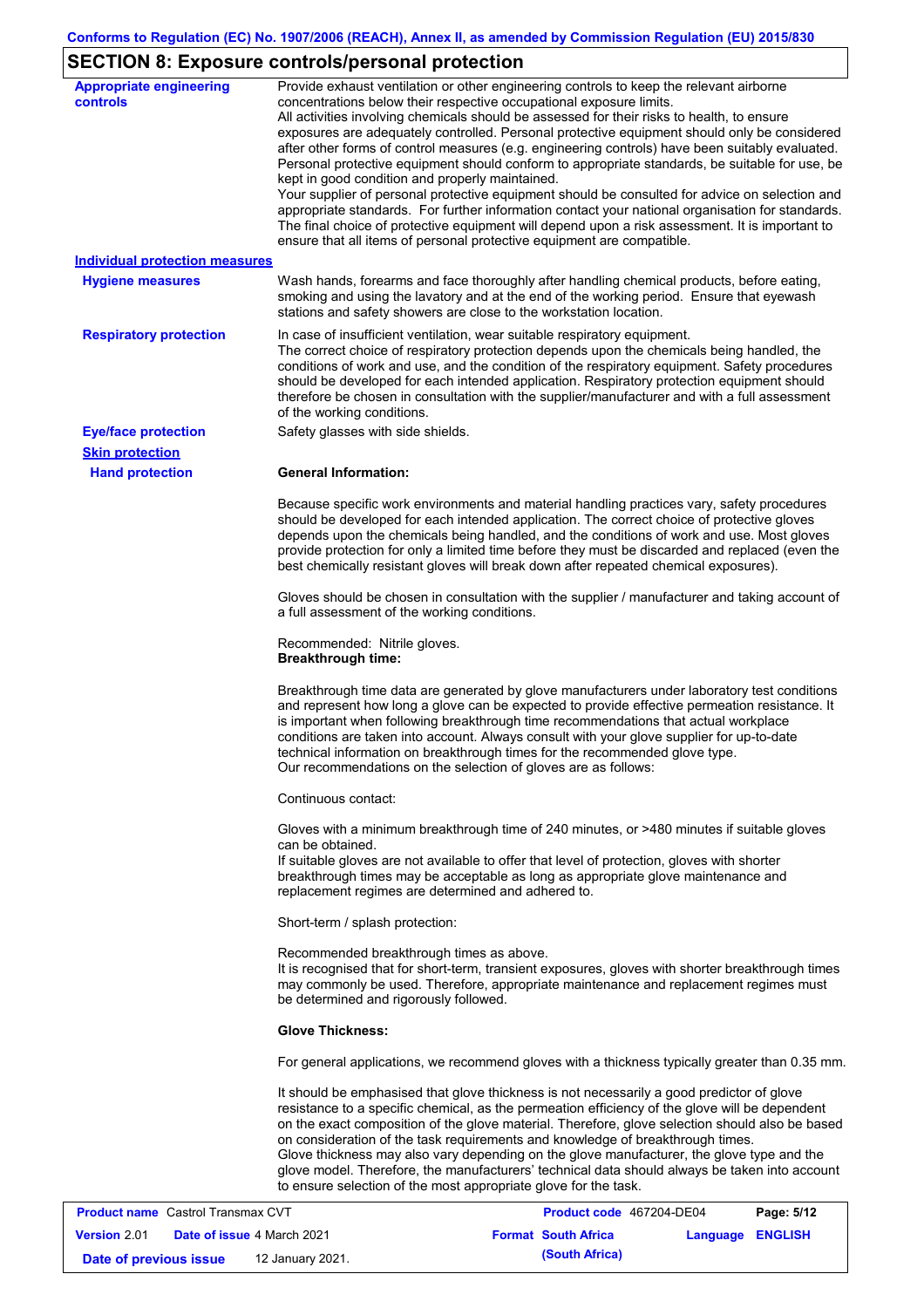# **SECTION 8: Exposure controls/personal protection**

| <b>Appropriate engineering</b><br><b>controls</b> | Provide exhaust ventilation or other engineering controls to keep the relevant airborne<br>concentrations below their respective occupational exposure limits.<br>All activities involving chemicals should be assessed for their risks to health, to ensure<br>exposures are adequately controlled. Personal protective equipment should only be considered<br>after other forms of control measures (e.g. engineering controls) have been suitably evaluated.<br>Personal protective equipment should conform to appropriate standards, be suitable for use, be<br>kept in good condition and properly maintained.<br>Your supplier of personal protective equipment should be consulted for advice on selection and<br>appropriate standards. For further information contact your national organisation for standards.<br>The final choice of protective equipment will depend upon a risk assessment. It is important to<br>ensure that all items of personal protective equipment are compatible. |
|---------------------------------------------------|---------------------------------------------------------------------------------------------------------------------------------------------------------------------------------------------------------------------------------------------------------------------------------------------------------------------------------------------------------------------------------------------------------------------------------------------------------------------------------------------------------------------------------------------------------------------------------------------------------------------------------------------------------------------------------------------------------------------------------------------------------------------------------------------------------------------------------------------------------------------------------------------------------------------------------------------------------------------------------------------------------|
| <b>Individual protection measures</b>             |                                                                                                                                                                                                                                                                                                                                                                                                                                                                                                                                                                                                                                                                                                                                                                                                                                                                                                                                                                                                         |
| <b>Hygiene measures</b>                           | Wash hands, forearms and face thoroughly after handling chemical products, before eating,<br>smoking and using the lavatory and at the end of the working period. Ensure that eyewash<br>stations and safety showers are close to the workstation location.                                                                                                                                                                                                                                                                                                                                                                                                                                                                                                                                                                                                                                                                                                                                             |
| <b>Respiratory protection</b>                     | In case of insufficient ventilation, wear suitable respiratory equipment.<br>The correct choice of respiratory protection depends upon the chemicals being handled, the<br>conditions of work and use, and the condition of the respiratory equipment. Safety procedures<br>should be developed for each intended application. Respiratory protection equipment should<br>therefore be chosen in consultation with the supplier/manufacturer and with a full assessment<br>of the working conditions.                                                                                                                                                                                                                                                                                                                                                                                                                                                                                                   |
| <b>Eye/face protection</b>                        | Safety glasses with side shields.                                                                                                                                                                                                                                                                                                                                                                                                                                                                                                                                                                                                                                                                                                                                                                                                                                                                                                                                                                       |
| <b>Skin protection</b>                            |                                                                                                                                                                                                                                                                                                                                                                                                                                                                                                                                                                                                                                                                                                                                                                                                                                                                                                                                                                                                         |
| <b>Hand protection</b>                            | <b>General Information:</b>                                                                                                                                                                                                                                                                                                                                                                                                                                                                                                                                                                                                                                                                                                                                                                                                                                                                                                                                                                             |
|                                                   | Because specific work environments and material handling practices vary, safety procedures<br>should be developed for each intended application. The correct choice of protective gloves<br>depends upon the chemicals being handled, and the conditions of work and use. Most gloves<br>provide protection for only a limited time before they must be discarded and replaced (even the<br>best chemically resistant gloves will break down after repeated chemical exposures).                                                                                                                                                                                                                                                                                                                                                                                                                                                                                                                        |
|                                                   | Gloves should be chosen in consultation with the supplier / manufacturer and taking account of<br>a full assessment of the working conditions.                                                                                                                                                                                                                                                                                                                                                                                                                                                                                                                                                                                                                                                                                                                                                                                                                                                          |
|                                                   | Recommended: Nitrile gloves.<br><b>Breakthrough time:</b>                                                                                                                                                                                                                                                                                                                                                                                                                                                                                                                                                                                                                                                                                                                                                                                                                                                                                                                                               |
|                                                   | Breakthrough time data are generated by glove manufacturers under laboratory test conditions<br>and represent how long a glove can be expected to provide effective permeation resistance. It<br>is important when following breakthrough time recommendations that actual workplace<br>conditions are taken into account. Always consult with your glove supplier for up-to-date<br>technical information on breakthrough times for the recommended glove type.<br>Our recommendations on the selection of gloves are as follows:                                                                                                                                                                                                                                                                                                                                                                                                                                                                      |
|                                                   | Continuous contact:                                                                                                                                                                                                                                                                                                                                                                                                                                                                                                                                                                                                                                                                                                                                                                                                                                                                                                                                                                                     |
|                                                   | Gloves with a minimum breakthrough time of 240 minutes, or >480 minutes if suitable gloves<br>can be obtained.<br>If suitable gloves are not available to offer that level of protection, gloves with shorter<br>breakthrough times may be acceptable as long as appropriate glove maintenance and<br>replacement regimes are determined and adhered to.                                                                                                                                                                                                                                                                                                                                                                                                                                                                                                                                                                                                                                                |
|                                                   | Short-term / splash protection:                                                                                                                                                                                                                                                                                                                                                                                                                                                                                                                                                                                                                                                                                                                                                                                                                                                                                                                                                                         |
|                                                   | Recommended breakthrough times as above.<br>It is recognised that for short-term, transient exposures, gloves with shorter breakthrough times<br>may commonly be used. Therefore, appropriate maintenance and replacement regimes must<br>be determined and rigorously followed.                                                                                                                                                                                                                                                                                                                                                                                                                                                                                                                                                                                                                                                                                                                        |
|                                                   | <b>Glove Thickness:</b>                                                                                                                                                                                                                                                                                                                                                                                                                                                                                                                                                                                                                                                                                                                                                                                                                                                                                                                                                                                 |
|                                                   | For general applications, we recommend gloves with a thickness typically greater than 0.35 mm.                                                                                                                                                                                                                                                                                                                                                                                                                                                                                                                                                                                                                                                                                                                                                                                                                                                                                                          |
|                                                   | It should be emphasised that glove thickness is not necessarily a good predictor of glove<br>resistance to a specific chemical, as the permeation efficiency of the glove will be dependent<br>on the exact composition of the glove material. Therefore, glove selection should also be based<br>on consideration of the task requirements and knowledge of breakthrough times.<br>Glove thickness may also vary depending on the glove manufacturer, the glove type and the<br>glove model. Therefore, the manufacturers' technical data should always be taken into account<br>to ensure selection of the most appropriate glove for the task.                                                                                                                                                                                                                                                                                                                                                       |
| <b>Product name</b> Castrol Transmax CVT          | Product code 467204-DE04<br>Page: 5/12                                                                                                                                                                                                                                                                                                                                                                                                                                                                                                                                                                                                                                                                                                                                                                                                                                                                                                                                                                  |

| <b>Product name</b> Castrol Transmax CVT   |  | <b>Product code</b> 467204-DE04   |                | Page: 5/12                 |                         |  |
|--------------------------------------------|--|-----------------------------------|----------------|----------------------------|-------------------------|--|
| <b>Version 2.01</b>                        |  | <b>Date of issue 4 March 2021</b> |                | <b>Format South Africa</b> | <b>Language ENGLISH</b> |  |
| 12 January 2021.<br>Date of previous issue |  |                                   | (South Africa) |                            |                         |  |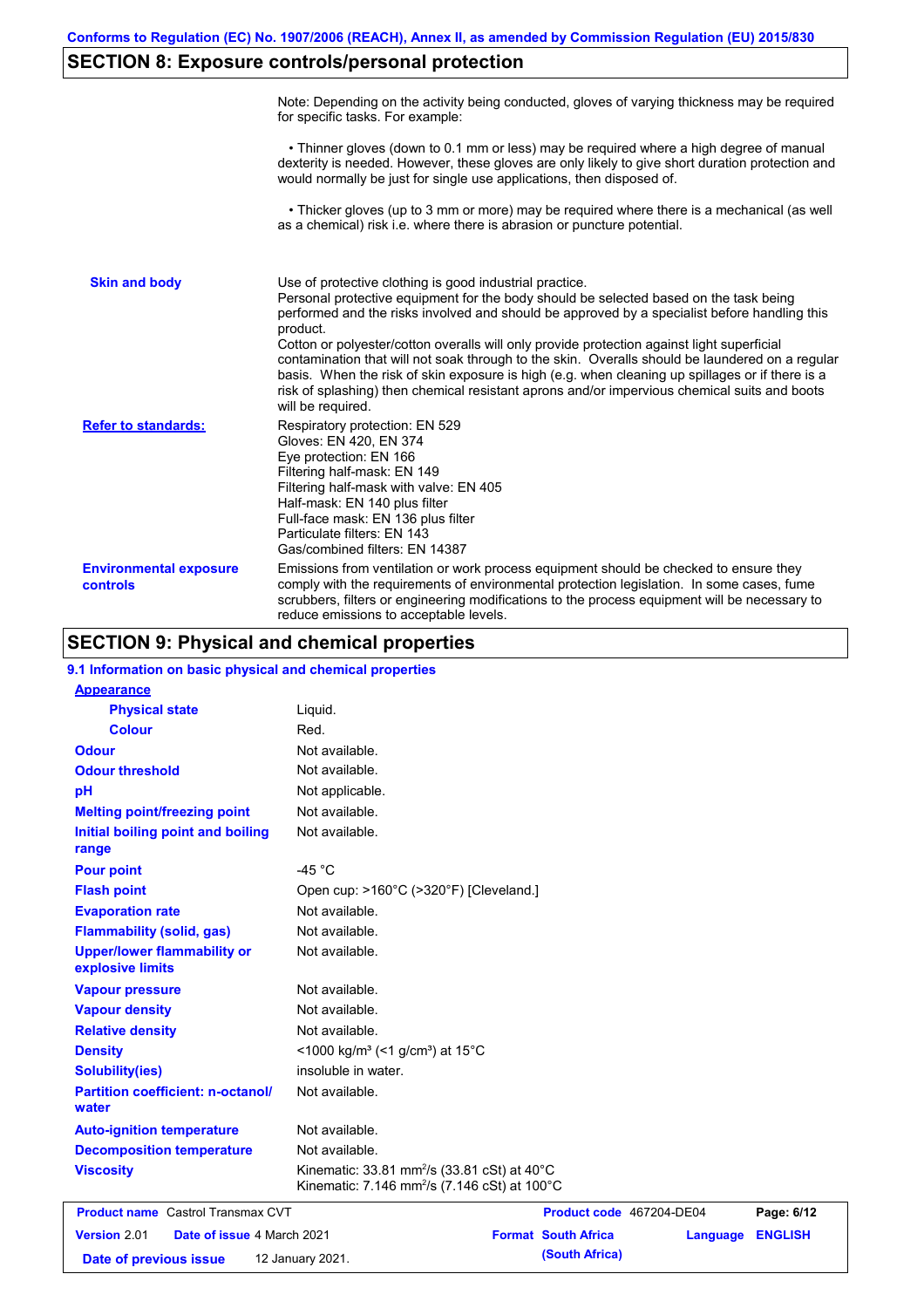# **SECTION 8: Exposure controls/personal protection**

|                                           | Note: Depending on the activity being conducted, gloves of varying thickness may be required<br>for specific tasks. For example:                                                                                                                                                                                                                                                                                                                                                                                                                                                                                                                                                      |
|-------------------------------------------|---------------------------------------------------------------------------------------------------------------------------------------------------------------------------------------------------------------------------------------------------------------------------------------------------------------------------------------------------------------------------------------------------------------------------------------------------------------------------------------------------------------------------------------------------------------------------------------------------------------------------------------------------------------------------------------|
|                                           | • Thinner gloves (down to 0.1 mm or less) may be required where a high degree of manual<br>dexterity is needed. However, these gloves are only likely to give short duration protection and<br>would normally be just for single use applications, then disposed of.                                                                                                                                                                                                                                                                                                                                                                                                                  |
|                                           | • Thicker gloves (up to 3 mm or more) may be required where there is a mechanical (as well<br>as a chemical) risk i.e. where there is abrasion or puncture potential.                                                                                                                                                                                                                                                                                                                                                                                                                                                                                                                 |
| <b>Skin and body</b>                      | Use of protective clothing is good industrial practice.<br>Personal protective equipment for the body should be selected based on the task being<br>performed and the risks involved and should be approved by a specialist before handling this<br>product.<br>Cotton or polyester/cotton overalls will only provide protection against light superficial<br>contamination that will not soak through to the skin. Overalls should be laundered on a regular<br>basis. When the risk of skin exposure is high (e.g. when cleaning up spillages or if there is a<br>risk of splashing) then chemical resistant aprons and/or impervious chemical suits and boots<br>will be required. |
| <b>Refer to standards:</b>                | Respiratory protection: EN 529<br>Gloves: EN 420, EN 374<br>Eye protection: EN 166<br>Filtering half-mask: EN 149<br>Filtering half-mask with valve: EN 405<br>Half-mask: EN 140 plus filter<br>Full-face mask: EN 136 plus filter<br>Particulate filters: EN 143<br>Gas/combined filters: EN 14387                                                                                                                                                                                                                                                                                                                                                                                   |
| <b>Environmental exposure</b><br>controls | Emissions from ventilation or work process equipment should be checked to ensure they<br>comply with the requirements of environmental protection legislation. In some cases, fume<br>scrubbers, filters or engineering modifications to the process equipment will be necessary to<br>reduce emissions to acceptable levels.                                                                                                                                                                                                                                                                                                                                                         |

# **SECTION 9: Physical and chemical properties**

| 9.1 Information on basic physical and chemical properties |                                                                                                                     |
|-----------------------------------------------------------|---------------------------------------------------------------------------------------------------------------------|
| <b>Appearance</b>                                         |                                                                                                                     |
| <b>Physical state</b>                                     | Liquid.                                                                                                             |
| <b>Colour</b>                                             | Red.                                                                                                                |
| <b>Odour</b>                                              | Not available.                                                                                                      |
| <b>Odour threshold</b>                                    | Not available.                                                                                                      |
| pH                                                        | Not applicable.                                                                                                     |
| <b>Melting point/freezing point</b>                       | Not available.                                                                                                      |
| Initial boiling point and boiling<br>range                | Not available.                                                                                                      |
| <b>Pour point</b>                                         | $-45 °C$                                                                                                            |
| <b>Flash point</b>                                        | Open cup: >160°C (>320°F) [Cleveland.]                                                                              |
| <b>Evaporation rate</b>                                   | Not available.                                                                                                      |
| <b>Flammability (solid, gas)</b>                          | Not available.                                                                                                      |
| <b>Upper/lower flammability or</b><br>explosive limits    | Not available.                                                                                                      |
| <b>Vapour pressure</b>                                    | Not available.                                                                                                      |
| <b>Vapour density</b>                                     | Not available.                                                                                                      |
| <b>Relative density</b>                                   | Not available.                                                                                                      |
| <b>Density</b>                                            | <1000 kg/m <sup>3</sup> (<1 g/cm <sup>3</sup> ) at 15 <sup>°</sup> C                                                |
| <b>Solubility(ies)</b>                                    | insoluble in water.                                                                                                 |
| <b>Partition coefficient: n-octanol/</b><br>water         | Not available.                                                                                                      |
| <b>Auto-ignition temperature</b>                          | Not available.                                                                                                      |
| <b>Decomposition temperature</b>                          | Not available.                                                                                                      |
| <b>Viscosity</b>                                          | Kinematic: 33.81 mm <sup>2</sup> /s (33.81 cSt) at 40°C<br>Kinematic: 7.146 mm <sup>2</sup> /s (7.146 cSt) at 100°C |
| <b>Product name</b> Castrol Transmax CVT                  | Page: 6/12<br>Product code 467204-DE04                                                                              |
| Margian 2.01 Data of inque 4 March 2021                   | <b>EMALIOU</b><br>Earmat Cauth Africa<br>$I$ openings.                                                              |

**Version** 2.01 **Date of issue** 4 March 2021 **Format South Africa Language ENGLISH Date of previous issue (South Africa)** 12 January 2021.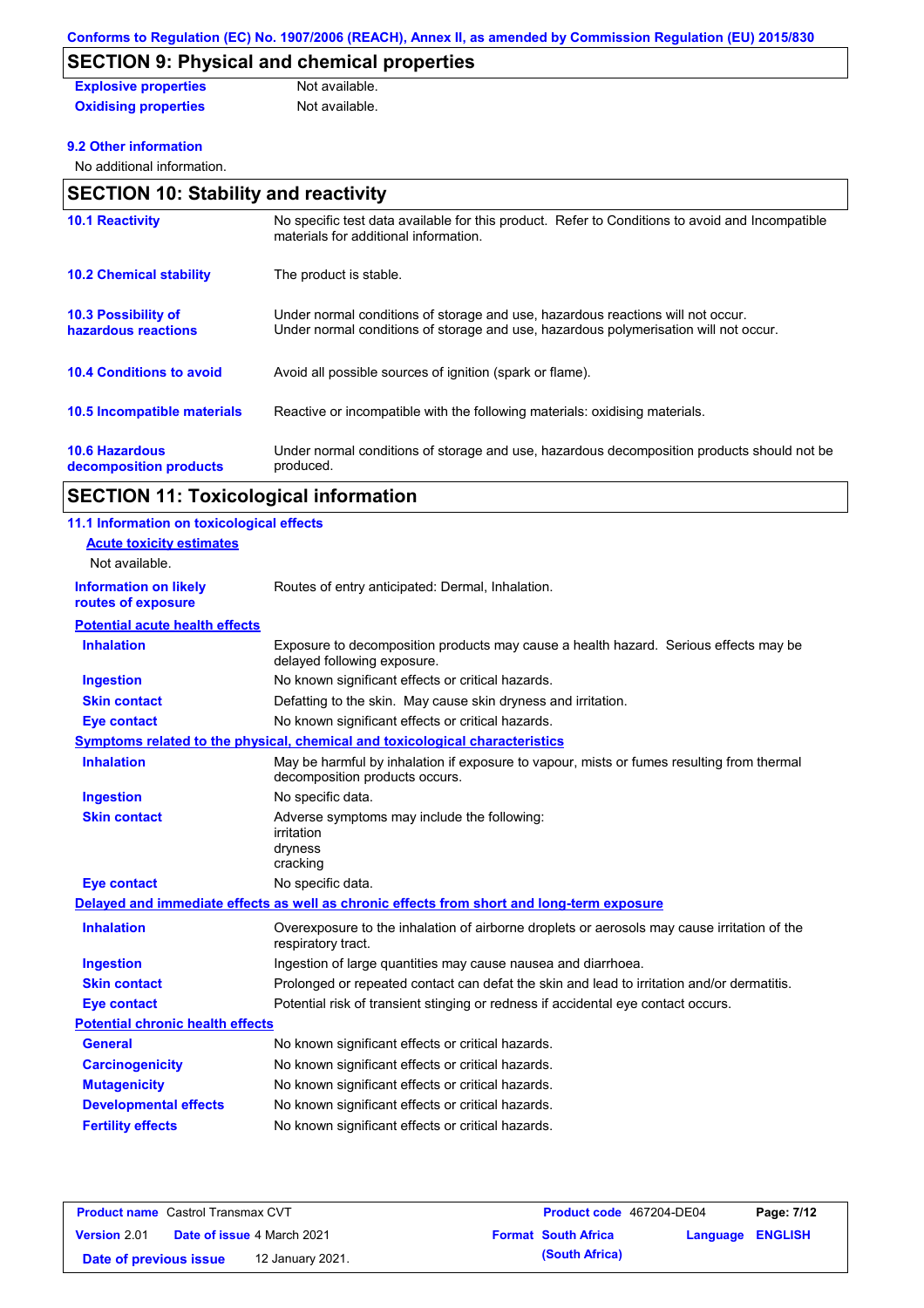# **SECTION 9: Physical and chemical properties**

| <b>Explosive properties</b> | Not available. |
|-----------------------------|----------------|
| <b>Oxidising properties</b> | Not available. |

### **9.2 Other information**

No additional information.

| <b>SECTION 10: Stability and reactivity</b>       |                                                                                                                                                                         |  |  |  |
|---------------------------------------------------|-------------------------------------------------------------------------------------------------------------------------------------------------------------------------|--|--|--|
| <b>10.1 Reactivity</b>                            | No specific test data available for this product. Refer to Conditions to avoid and Incompatible<br>materials for additional information.                                |  |  |  |
| <b>10.2 Chemical stability</b>                    | The product is stable.                                                                                                                                                  |  |  |  |
| <b>10.3 Possibility of</b><br>hazardous reactions | Under normal conditions of storage and use, hazardous reactions will not occur.<br>Under normal conditions of storage and use, hazardous polymerisation will not occur. |  |  |  |
| <b>10.4 Conditions to avoid</b>                   | Avoid all possible sources of ignition (spark or flame).                                                                                                                |  |  |  |
| <b>10.5 Incompatible materials</b>                | Reactive or incompatible with the following materials: oxidising materials.                                                                                             |  |  |  |
| <b>10.6 Hazardous</b><br>decomposition products   | Under normal conditions of storage and use, hazardous decomposition products should not be<br>produced.                                                                 |  |  |  |

# **SECTION 11: Toxicological information**

| 11.1 Information on toxicological effects          |                                                                                                                             |
|----------------------------------------------------|-----------------------------------------------------------------------------------------------------------------------------|
| <b>Acute toxicity estimates</b>                    |                                                                                                                             |
| Not available.                                     |                                                                                                                             |
| <b>Information on likely</b><br>routes of exposure | Routes of entry anticipated: Dermal, Inhalation.                                                                            |
| <b>Potential acute health effects</b>              |                                                                                                                             |
| <b>Inhalation</b>                                  | Exposure to decomposition products may cause a health hazard. Serious effects may be<br>delayed following exposure.         |
| <b>Ingestion</b>                                   | No known significant effects or critical hazards.                                                                           |
| <b>Skin contact</b>                                | Defatting to the skin. May cause skin dryness and irritation.                                                               |
| <b>Eye contact</b>                                 | No known significant effects or critical hazards.                                                                           |
|                                                    | <b>Symptoms related to the physical, chemical and toxicological characteristics</b>                                         |
| <b>Inhalation</b>                                  | May be harmful by inhalation if exposure to vapour, mists or fumes resulting from thermal<br>decomposition products occurs. |
| <b>Ingestion</b>                                   | No specific data.                                                                                                           |
| <b>Skin contact</b>                                | Adverse symptoms may include the following:<br>irritation<br>dryness<br>cracking                                            |
| <b>Eye contact</b>                                 | No specific data.                                                                                                           |
|                                                    | Delayed and immediate effects as well as chronic effects from short and long-term exposure                                  |
| <b>Inhalation</b>                                  | Overexposure to the inhalation of airborne droplets or aerosols may cause irritation of the<br>respiratory tract.           |
| <b>Ingestion</b>                                   | Ingestion of large quantities may cause nausea and diarrhoea.                                                               |
| <b>Skin contact</b>                                | Prolonged or repeated contact can defat the skin and lead to irritation and/or dermatitis.                                  |
| <b>Eye contact</b>                                 | Potential risk of transient stinging or redness if accidental eye contact occurs.                                           |
| <b>Potential chronic health effects</b>            |                                                                                                                             |
| General                                            | No known significant effects or critical hazards.                                                                           |
| <b>Carcinogenicity</b>                             | No known significant effects or critical hazards.                                                                           |
| <b>Mutagenicity</b>                                | No known significant effects or critical hazards.                                                                           |
| <b>Developmental effects</b>                       | No known significant effects or critical hazards.                                                                           |
| <b>Fertility effects</b>                           | No known significant effects or critical hazards.                                                                           |

| <b>Product name</b> Castrol Transmax CVT |  | <b>Product code</b> 467204-DE04   |  | Page: 7/12                 |                         |  |
|------------------------------------------|--|-----------------------------------|--|----------------------------|-------------------------|--|
| <b>Version</b> 2.01                      |  | <b>Date of issue 4 March 2021</b> |  | <b>Format South Africa</b> | <b>Language ENGLISH</b> |  |
| Date of previous issue                   |  | 12 January 2021.                  |  | (South Africa)             |                         |  |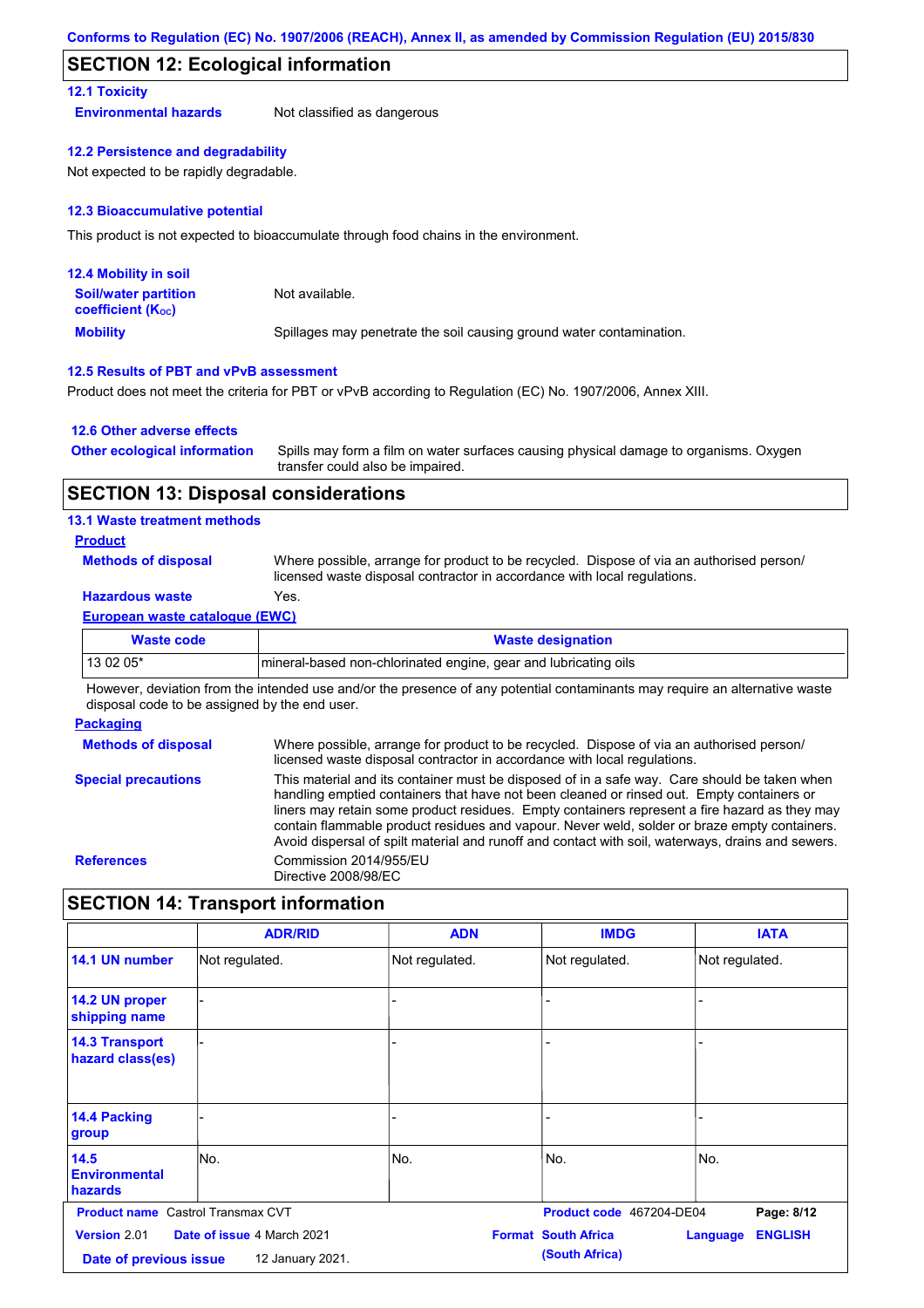## **SECTION 12: Ecological information**

### **12.1 Toxicity**

**Environmental hazards** Not classified as dangerous

**12.2 Persistence and degradability**

Not expected to be rapidly degradable.

#### **12.3 Bioaccumulative potential**

This product is not expected to bioaccumulate through food chains in the environment.

| <b>12.4 Mobility in soil</b>                            |                                                                      |
|---------------------------------------------------------|----------------------------------------------------------------------|
| <b>Soil/water partition</b><br><b>coefficient (Koc)</b> | Not available.                                                       |
| <b>Mobility</b>                                         | Spillages may penetrate the soil causing ground water contamination. |

#### **12.5 Results of PBT and vPvB assessment**

Product does not meet the criteria for PBT or vPvB according to Regulation (EC) No. 1907/2006, Annex XIII.

### **12.6 Other adverse effects**

| <b>Other ecological information</b> | Spills may form a film on water surfaces causing physical damage to organisms. Oxygen |
|-------------------------------------|---------------------------------------------------------------------------------------|
|                                     | transfer could also be impaired.                                                      |

### **SECTION 13: Disposal considerations**

#### **13.1 Waste treatment methods**

### **Product**

**Methods of disposal**

Where possible, arrange for product to be recycled. Dispose of via an authorised person/ licensed waste disposal contractor in accordance with local regulations.

## **Hazardous waste** Yes.

| European waste catalogue (EWC) |                                                                 |  |  |  |
|--------------------------------|-----------------------------------------------------------------|--|--|--|
| Waste code                     | <b>Waste designation</b>                                        |  |  |  |
| 13 02 05*                      | mineral-based non-chlorinated engine, gear and lubricating oils |  |  |  |

However, deviation from the intended use and/or the presence of any potential contaminants may require an alternative waste disposal code to be assigned by the end user.

#### **Packaging**

**Methods of disposal Special precautions** Where possible, arrange for product to be recycled. Dispose of via an authorised person/ licensed waste disposal contractor in accordance with local regulations. This material and its container must be disposed of in a safe way. Care should be taken when handling emptied containers that have not been cleaned or rinsed out. Empty containers or liners may retain some product residues. Empty containers represent a fire hazard as they may contain flammable product residues and vapour. Never weld, solder or braze empty containers. Avoid dispersal of spilt material and runoff and contact with soil, waterways, drains and sewers. **References** Commission 2014/955/EU Directive 2008/98/EC

### **SECTION 14: Transport information**

|                                               | <b>ADR/RID</b>                                 | <b>ADN</b>     | <b>IMDG</b>                                  | <b>IATA</b>                |
|-----------------------------------------------|------------------------------------------------|----------------|----------------------------------------------|----------------------------|
| 14.1 UN number                                | Not regulated.                                 | Not regulated. | Not regulated.                               | Not regulated.             |
| 14.2 UN proper<br>shipping name               |                                                |                |                                              |                            |
| <b>14.3 Transport</b><br>hazard class(es)     |                                                |                |                                              |                            |
| 14.4 Packing<br>group                         |                                                |                |                                              |                            |
| 14.5<br><b>Environmental</b><br>hazards       | lNo.                                           | No.            | No.                                          | lNo.                       |
| <b>Product name</b> Castrol Transmax CVT      |                                                |                | Product code 467204-DE04                     | Page: 8/12                 |
| <b>Version 2.01</b><br>Date of previous issue | Date of issue 4 March 2021<br>12 January 2021. |                | <b>Format South Africa</b><br>(South Africa) | <b>ENGLISH</b><br>Language |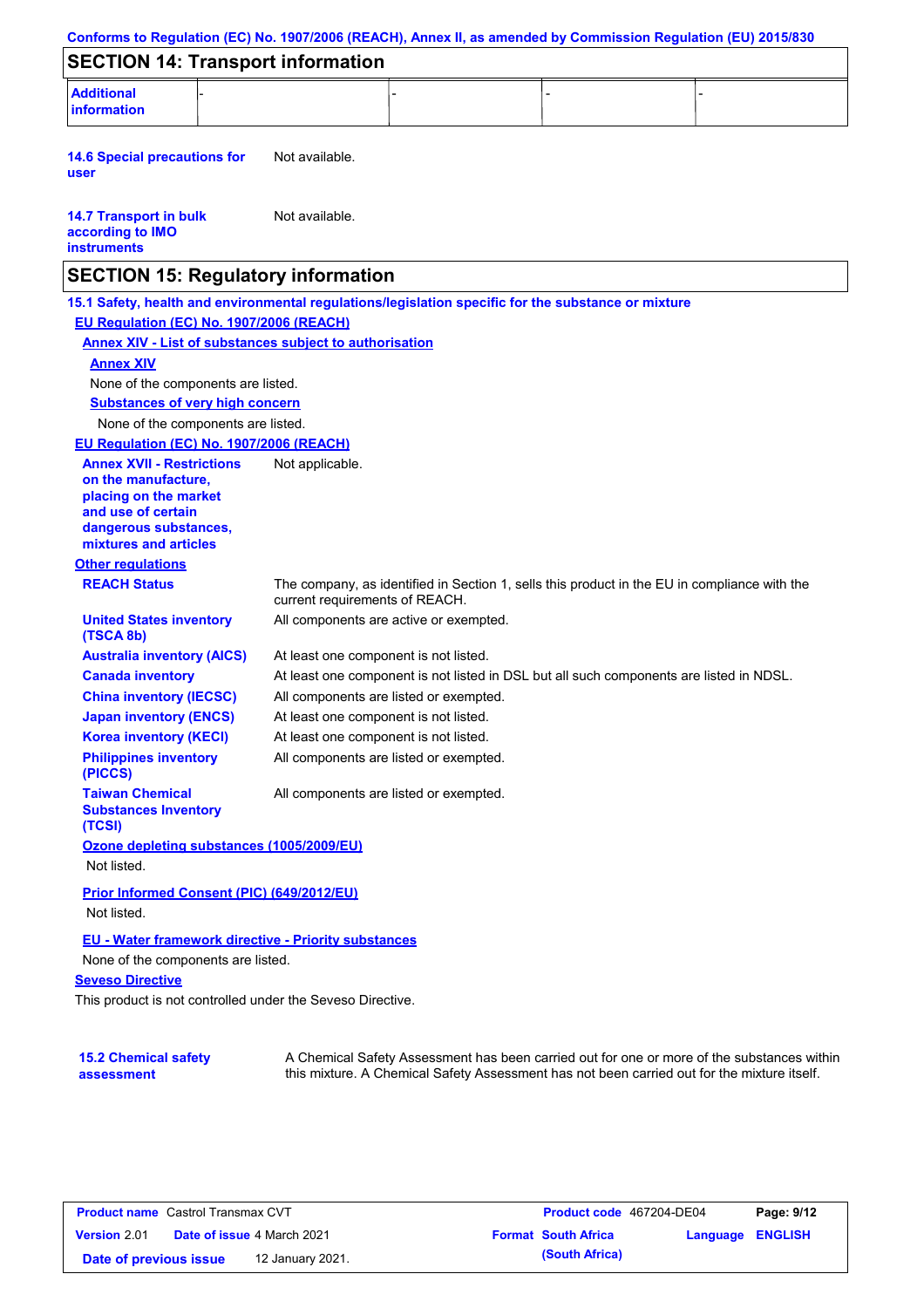| Conforms to Regulation (EC) No. 1907/2006 (REACH), Annex II, as amended by Commission Regulation (EU) 2015/830                                                                                                                                                                                                                                                                                          |                                       |                                                                                              |  |
|---------------------------------------------------------------------------------------------------------------------------------------------------------------------------------------------------------------------------------------------------------------------------------------------------------------------------------------------------------------------------------------------------------|---------------------------------------|----------------------------------------------------------------------------------------------|--|
| <b>SECTION 14: Transport information</b>                                                                                                                                                                                                                                                                                                                                                                |                                       |                                                                                              |  |
| <b>Additional</b><br>information                                                                                                                                                                                                                                                                                                                                                                        |                                       |                                                                                              |  |
| <b>14.6 Special precautions for</b><br>user                                                                                                                                                                                                                                                                                                                                                             | Not available.                        |                                                                                              |  |
| <b>14.7 Transport in bulk</b><br>according to IMO<br><b>instruments</b>                                                                                                                                                                                                                                                                                                                                 | Not available.                        |                                                                                              |  |
| <b>SECTION 15: Regulatory information</b>                                                                                                                                                                                                                                                                                                                                                               |                                       |                                                                                              |  |
| 15.1 Safety, health and environmental regulations/legislation specific for the substance or mixture<br>EU Regulation (EC) No. 1907/2006 (REACH)<br><b>Annex XIV - List of substances subject to authorisation</b><br><b>Annex XIV</b><br>None of the components are listed.<br><b>Substances of very high concern</b><br>None of the components are listed.<br>EU Regulation (EC) No. 1907/2006 (REACH) |                                       |                                                                                              |  |
| <b>Annex XVII - Restrictions</b><br>on the manufacture,<br>placing on the market<br>and use of certain<br>dangerous substances,<br>mixtures and articles                                                                                                                                                                                                                                                | Not applicable.                       |                                                                                              |  |
| <b>Other regulations</b>                                                                                                                                                                                                                                                                                                                                                                                |                                       |                                                                                              |  |
| <b>REACH Status</b>                                                                                                                                                                                                                                                                                                                                                                                     | current requirements of REACH.        | The company, as identified in Section 1, sells this product in the EU in compliance with the |  |
| <b>United States inventory</b><br>(TSCA 8b)                                                                                                                                                                                                                                                                                                                                                             |                                       | All components are active or exempted.                                                       |  |
| <b>Australia inventory (AICS)</b>                                                                                                                                                                                                                                                                                                                                                                       | At least one component is not listed. |                                                                                              |  |
| <b>Canada inventory</b>                                                                                                                                                                                                                                                                                                                                                                                 |                                       | At least one component is not listed in DSL but all such components are listed in NDSL.      |  |
| <b>China inventory (IECSC)</b>                                                                                                                                                                                                                                                                                                                                                                          |                                       | All components are listed or exempted.                                                       |  |
| <b>Japan inventory (ENCS)</b>                                                                                                                                                                                                                                                                                                                                                                           | At least one component is not listed. |                                                                                              |  |
| <b>Korea inventory (KECI)</b><br><b>Philippines inventory</b>                                                                                                                                                                                                                                                                                                                                           | At least one component is not listed. | All components are listed or exempted.                                                       |  |
| (PICCS)<br><b>Taiwan Chemical</b><br><b>Substances Inventory</b><br>(TCSI)                                                                                                                                                                                                                                                                                                                              |                                       | All components are listed or exempted.                                                       |  |
| Ozone depleting substances (1005/2009/EU)<br>Not listed.                                                                                                                                                                                                                                                                                                                                                |                                       |                                                                                              |  |
| <b>Prior Informed Consent (PIC) (649/2012/EU)</b>                                                                                                                                                                                                                                                                                                                                                       |                                       |                                                                                              |  |
| Not listed.                                                                                                                                                                                                                                                                                                                                                                                             |                                       |                                                                                              |  |
| <b>EU - Water framework directive - Priority substances</b>                                                                                                                                                                                                                                                                                                                                             |                                       |                                                                                              |  |
| None of the components are listed.                                                                                                                                                                                                                                                                                                                                                                      |                                       |                                                                                              |  |
| <b>Seveso Directive</b>                                                                                                                                                                                                                                                                                                                                                                                 |                                       |                                                                                              |  |
| This product is not controlled under the Seveso Directive.                                                                                                                                                                                                                                                                                                                                              |                                       |                                                                                              |  |

### **15.2 Chemical safety assessment**

A Chemical Safety Assessment has been carried out for one or more of the substances within this mixture. A Chemical Safety Assessment has not been carried out for the mixture itself.

| <b>Product name</b> Castrol Transmax CVT |  | <b>Product code</b> 467204-DE04   |  | Page: 9/12                 |                         |  |
|------------------------------------------|--|-----------------------------------|--|----------------------------|-------------------------|--|
| <b>Version 2.01</b>                      |  | <b>Date of issue 4 March 2021</b> |  | <b>Format South Africa</b> | <b>Language ENGLISH</b> |  |
| Date of previous issue                   |  | 12 January 2021.                  |  | (South Africa)             |                         |  |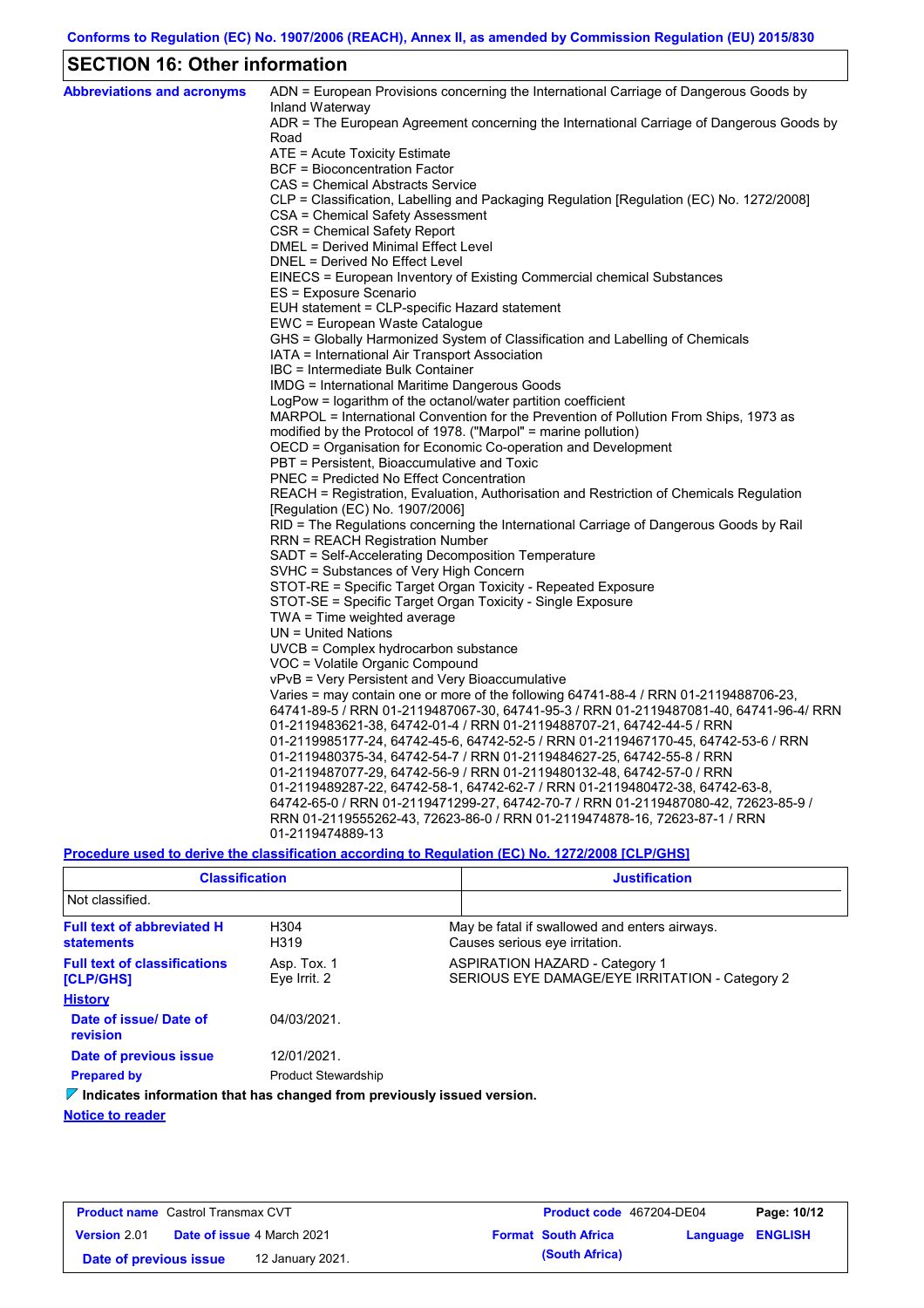# **SECTION 16: Other information**

| <b>Abbreviations and acronyms</b> | ADN = European Provisions concerning the International Carriage of Dangerous Goods by<br>Inland Waterway |
|-----------------------------------|----------------------------------------------------------------------------------------------------------|
|                                   | ADR = The European Agreement concerning the International Carriage of Dangerous Goods by<br>Road         |
|                                   | ATE = Acute Toxicity Estimate                                                                            |
|                                   | BCF = Bioconcentration Factor                                                                            |
|                                   | CAS = Chemical Abstracts Service                                                                         |
|                                   | CLP = Classification, Labelling and Packaging Regulation [Regulation (EC) No. 1272/2008]                 |
|                                   | CSA = Chemical Safety Assessment                                                                         |
|                                   | CSR = Chemical Safety Report                                                                             |
|                                   | DMEL = Derived Minimal Effect Level                                                                      |
|                                   | DNEL = Derived No Effect Level                                                                           |
|                                   | EINECS = European Inventory of Existing Commercial chemical Substances                                   |
|                                   | ES = Exposure Scenario                                                                                   |
|                                   | EUH statement = CLP-specific Hazard statement                                                            |
|                                   | EWC = European Waste Catalogue                                                                           |
|                                   | GHS = Globally Harmonized System of Classification and Labelling of Chemicals                            |
|                                   | IATA = International Air Transport Association                                                           |
|                                   | IBC = Intermediate Bulk Container                                                                        |
|                                   | IMDG = International Maritime Dangerous Goods                                                            |
|                                   | LogPow = logarithm of the octanol/water partition coefficient                                            |
|                                   | MARPOL = International Convention for the Prevention of Pollution From Ships, 1973 as                    |
|                                   | modified by the Protocol of 1978. ("Marpol" = marine pollution)                                          |
|                                   | OECD = Organisation for Economic Co-operation and Development                                            |
|                                   | PBT = Persistent, Bioaccumulative and Toxic                                                              |
|                                   | <b>PNEC = Predicted No Effect Concentration</b>                                                          |
|                                   | REACH = Registration, Evaluation, Authorisation and Restriction of Chemicals Regulation                  |
|                                   | [Regulation (EC) No. 1907/2006]                                                                          |
|                                   | RID = The Regulations concerning the International Carriage of Dangerous Goods by Rail                   |
|                                   | <b>RRN = REACH Registration Number</b>                                                                   |
|                                   | SADT = Self-Accelerating Decomposition Temperature                                                       |
|                                   | SVHC = Substances of Very High Concern                                                                   |
|                                   | STOT-RE = Specific Target Organ Toxicity - Repeated Exposure                                             |
|                                   | STOT-SE = Specific Target Organ Toxicity - Single Exposure                                               |
|                                   | TWA = Time weighted average                                                                              |
|                                   | $UN = United Nations$                                                                                    |
|                                   | UVCB = Complex hydrocarbon substance                                                                     |
|                                   | VOC = Volatile Organic Compound                                                                          |
|                                   | vPvB = Very Persistent and Very Bioaccumulative                                                          |
|                                   | Varies = may contain one or more of the following $64741-88-4$ / RRN 01-2119488706-23,                   |
|                                   | 64741-89-5 / RRN 01-2119487067-30, 64741-95-3 / RRN 01-2119487081-40, 64741-96-4/ RRN                    |
|                                   | 01-2119483621-38, 64742-01-4 / RRN 01-2119488707-21, 64742-44-5 / RRN                                    |
|                                   | 01-2119985177-24, 64742-45-6, 64742-52-5 / RRN 01-2119467170-45, 64742-53-6 / RRN                        |
|                                   | 01-2119480375-34, 64742-54-7 / RRN 01-2119484627-25, 64742-55-8 / RRN                                    |
|                                   | 01-2119487077-29, 64742-56-9 / RRN 01-2119480132-48, 64742-57-0 / RRN                                    |
|                                   | 01-2119489287-22, 64742-58-1, 64742-62-7 / RRN 01-2119480472-38, 64742-63-8,                             |
|                                   | 64742-65-0 / RRN 01-2119471299-27, 64742-70-7 / RRN 01-2119487080-42, 72623-85-9 /                       |
|                                   | RRN 01-2119555262-43, 72623-86-0 / RRN 01-2119474878-16, 72623-87-1 / RRN                                |
|                                   | 01-2119474889-13                                                                                         |

**Procedure used to derive the classification according to Regulation (EC) No. 1272/2008 [CLP/GHS]**

| <b>Classification</b><br>Not classified.                                               |                             | <b>Justification</b>                                                                    |
|----------------------------------------------------------------------------------------|-----------------------------|-----------------------------------------------------------------------------------------|
|                                                                                        |                             |                                                                                         |
| <b>Full text of abbreviated H</b><br>statements                                        | H304<br>H319                | May be fatal if swallowed and enters airways.<br>Causes serious eye irritation.         |
| <b>Full text of classifications</b><br><b>[CLP/GHS]</b>                                | Asp. Tox. 1<br>Eve Irrit. 2 | <b>ASPIRATION HAZARD - Category 1</b><br>SERIOUS EYE DAMAGE/EYE IRRITATION - Category 2 |
| <b>History</b>                                                                         |                             |                                                                                         |
| Date of issue/ Date of<br>revision                                                     | 04/03/2021.                 |                                                                                         |
| Date of previous issue                                                                 | 12/01/2021.                 |                                                                                         |
| <b>Prepared by</b>                                                                     | <b>Product Stewardship</b>  |                                                                                         |
| $\triangledown$ Indicates information that has changed from previously issued version. |                             |                                                                                         |

### **Notice to reader**

| <b>Product name</b> Castrol Transmax CVT |                                   |                  | <b>Product code</b> 467204-DE04 | Page: 10/12                |                         |  |
|------------------------------------------|-----------------------------------|------------------|---------------------------------|----------------------------|-------------------------|--|
| <b>Version 2.01</b>                      | <b>Date of issue 4 March 2021</b> |                  |                                 | <b>Format South Africa</b> | <b>Language ENGLISH</b> |  |
| Date of previous issue                   |                                   | 12 January 2021. |                                 | (South Africa)             |                         |  |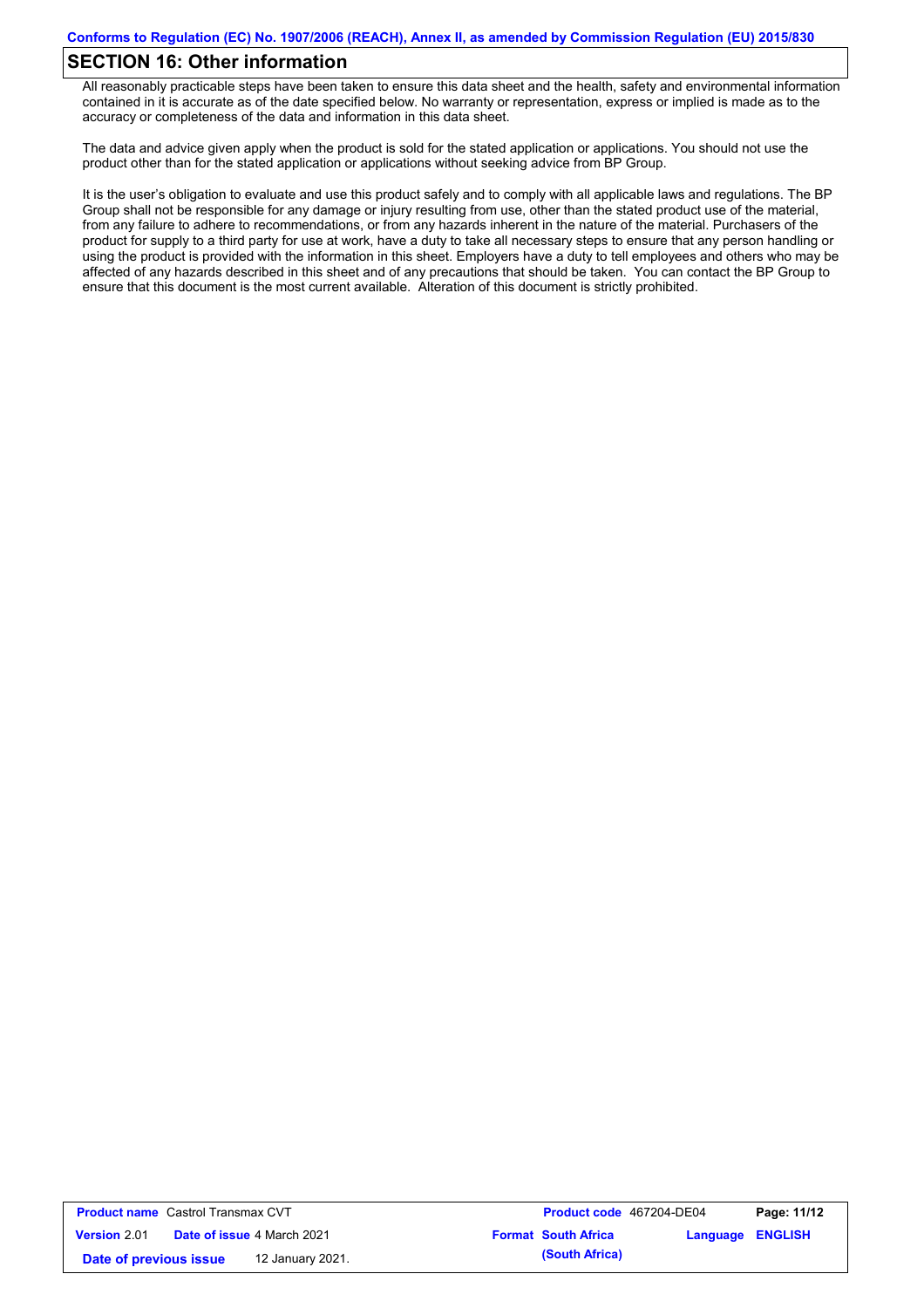## **SECTION 16: Other information**

All reasonably practicable steps have been taken to ensure this data sheet and the health, safety and environmental information contained in it is accurate as of the date specified below. No warranty or representation, express or implied is made as to the accuracy or completeness of the data and information in this data sheet.

The data and advice given apply when the product is sold for the stated application or applications. You should not use the product other than for the stated application or applications without seeking advice from BP Group.

It is the user's obligation to evaluate and use this product safely and to comply with all applicable laws and regulations. The BP Group shall not be responsible for any damage or injury resulting from use, other than the stated product use of the material, from any failure to adhere to recommendations, or from any hazards inherent in the nature of the material. Purchasers of the product for supply to a third party for use at work, have a duty to take all necessary steps to ensure that any person handling or using the product is provided with the information in this sheet. Employers have a duty to tell employees and others who may be affected of any hazards described in this sheet and of any precautions that should be taken. You can contact the BP Group to ensure that this document is the most current available. Alteration of this document is strictly prohibited.

| <b>Product name</b> Castrol Transmax CVT |                                   | <b>Product code</b> 467204-DE04 |                         | Page: 11/12 |
|------------------------------------------|-----------------------------------|---------------------------------|-------------------------|-------------|
| <b>Version 2.01</b>                      | <b>Date of issue 4 March 2021</b> | <b>Format South Africa</b>      | <b>Language ENGLISH</b> |             |
| Date of previous issue                   | 12 January 2021.                  | (South Africa)                  |                         |             |